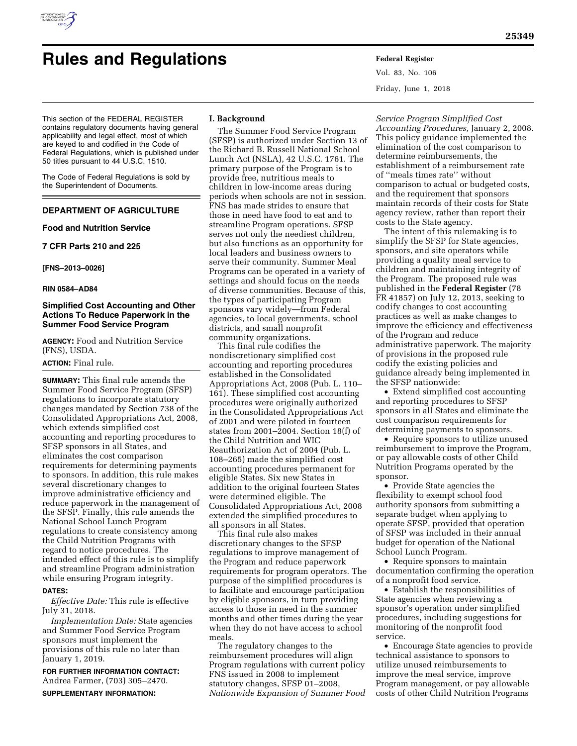

# **Rules and Regulations Federal Register**

This section of the FEDERAL REGISTER contains regulatory documents having general applicability and legal effect, most of which are keyed to and codified in the Code of Federal Regulations, which is published under 50 titles pursuant to 44 U.S.C. 1510.

The Code of Federal Regulations is sold by the Superintendent of Documents.

## **DEPARTMENT OF AGRICULTURE**

## **Food and Nutrition Service**

**7 CFR Parts 210 and 225** 

**[FNS–2013–0026]** 

## **RIN 0584–AD84**

## **Simplified Cost Accounting and Other Actions To Reduce Paperwork in the Summer Food Service Program**

**AGENCY:** Food and Nutrition Service (FNS), USDA.

## **ACTION:** Final rule.

**SUMMARY:** This final rule amends the Summer Food Service Program (SFSP) regulations to incorporate statutory changes mandated by Section 738 of the Consolidated Appropriations Act, 2008, which extends simplified cost accounting and reporting procedures to SFSP sponsors in all States, and eliminates the cost comparison requirements for determining payments to sponsors. In addition, this rule makes several discretionary changes to improve administrative efficiency and reduce paperwork in the management of the SFSP. Finally, this rule amends the National School Lunch Program regulations to create consistency among the Child Nutrition Programs with regard to notice procedures. The intended effect of this rule is to simplify and streamline Program administration while ensuring Program integrity.

#### **DATES:**

*Effective Date:* This rule is effective July 31, 2018.

*Implementation Date:* State agencies and Summer Food Service Program sponsors must implement the provisions of this rule no later than January 1, 2019.

**FOR FURTHER INFORMATION CONTACT:**  Andrea Farmer, (703) 305–2470. **SUPPLEMENTARY INFORMATION:** 

## **I. Background**

The Summer Food Service Program (SFSP) is authorized under Section 13 of the Richard B. Russell National School Lunch Act (NSLA), 42 U.S.C. 1761. The primary purpose of the Program is to provide free, nutritious meals to children in low-income areas during periods when schools are not in session. FNS has made strides to ensure that those in need have food to eat and to streamline Program operations. SFSP serves not only the neediest children, but also functions as an opportunity for local leaders and business owners to serve their community. Summer Meal Programs can be operated in a variety of settings and should focus on the needs of diverse communities. Because of this, the types of participating Program sponsors vary widely—from Federal agencies, to local governments, school districts, and small nonprofit community organizations.

This final rule codifies the nondiscretionary simplified cost accounting and reporting procedures established in the Consolidated Appropriations Act, 2008 (Pub. L. 110– 161). These simplified cost accounting procedures were originally authorized in the Consolidated Appropriations Act of 2001 and were piloted in fourteen states from 2001–2004. Section 18(f) of the Child Nutrition and WIC Reauthorization Act of 2004 (Pub. L. 108–265) made the simplified cost accounting procedures permanent for eligible States. Six new States in addition to the original fourteen States were determined eligible. The Consolidated Appropriations Act, 2008 extended the simplified procedures to all sponsors in all States.

This final rule also makes discretionary changes to the SFSP regulations to improve management of the Program and reduce paperwork requirements for program operators. The purpose of the simplified procedures is to facilitate and encourage participation by eligible sponsors, in turn providing access to those in need in the summer months and other times during the year when they do not have access to school meals.

The regulatory changes to the reimbursement procedures will align Program regulations with current policy FNS issued in 2008 to implement statutory changes, SFSP 01–2008, *Nationwide Expansion of Summer Food*  Vol. 83, No. 106 Friday, June 1, 2018

*Service Program Simplified Cost Accounting Procedures,* January 2, 2008. This policy guidance implemented the elimination of the cost comparison to determine reimbursements, the establishment of a reimbursement rate of ''meals times rate'' without comparison to actual or budgeted costs, and the requirement that sponsors maintain records of their costs for State agency review, rather than report their costs to the State agency.

The intent of this rulemaking is to simplify the SFSP for State agencies, sponsors, and site operators while providing a quality meal service to children and maintaining integrity of the Program. The proposed rule was published in the **Federal Register** (78 FR 41857) on July 12, 2013, seeking to codify changes to cost accounting practices as well as make changes to improve the efficiency and effectiveness of the Program and reduce administrative paperwork. The majority of provisions in the proposed rule codify the existing policies and guidance already being implemented in the SFSP nationwide:

• Extend simplified cost accounting and reporting procedures to SFSP sponsors in all States and eliminate the cost comparison requirements for determining payments to sponsors.

• Require sponsors to utilize unused reimbursement to improve the Program, or pay allowable costs of other Child Nutrition Programs operated by the sponsor.

• Provide State agencies the flexibility to exempt school food authority sponsors from submitting a separate budget when applying to operate SFSP, provided that operation of SFSP was included in their annual budget for operation of the National School Lunch Program.

• Require sponsors to maintain documentation confirming the operation of a nonprofit food service.

• Establish the responsibilities of State agencies when reviewing a sponsor's operation under simplified procedures, including suggestions for monitoring of the nonprofit food service.

• Encourage State agencies to provide technical assistance to sponsors to utilize unused reimbursements to improve the meal service, improve Program management, or pay allowable costs of other Child Nutrition Programs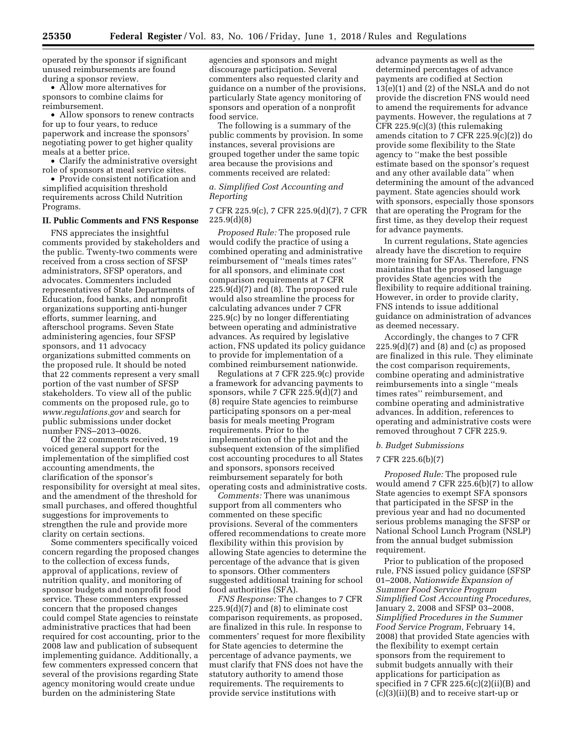operated by the sponsor if significant unused reimbursements are found during a sponsor review.

• Allow more alternatives for sponsors to combine claims for reimbursement.

• Allow sponsors to renew contracts for up to four years, to reduce paperwork and increase the sponsors' negotiating power to get higher quality meals at a better price.

• Clarify the administrative oversight role of sponsors at meal service sites.

• Provide consistent notification and simplified acquisition threshold requirements across Child Nutrition Programs.

#### **II. Public Comments and FNS Response**

FNS appreciates the insightful comments provided by stakeholders and the public. Twenty-two comments were received from a cross section of SFSP administrators, SFSP operators, and advocates. Commenters included representatives of State Departments of Education, food banks, and nonprofit organizations supporting anti-hunger efforts, summer learning, and afterschool programs. Seven State administering agencies, four SFSP sponsors, and 11 advocacy organizations submitted comments on the proposed rule. It should be noted that 22 comments represent a very small portion of the vast number of SFSP stakeholders. To view all of the public comments on the proposed rule, go to *[www.regulations.gov](http://www.regulations.gov)* and search for public submissions under docket number FNS–2013–0026.

Of the 22 comments received, 19 voiced general support for the implementation of the simplified cost accounting amendments, the clarification of the sponsor's responsibility for oversight at meal sites, and the amendment of the threshold for small purchases, and offered thoughtful suggestions for improvements to strengthen the rule and provide more clarity on certain sections.

Some commenters specifically voiced concern regarding the proposed changes to the collection of excess funds, approval of applications, review of nutrition quality, and monitoring of sponsor budgets and nonprofit food service. These commenters expressed concern that the proposed changes could compel State agencies to reinstate administrative practices that had been required for cost accounting, prior to the 2008 law and publication of subsequent implementing guidance. Additionally, a few commenters expressed concern that several of the provisions regarding State agency monitoring would create undue burden on the administering State

agencies and sponsors and might discourage participation. Several commenters also requested clarity and guidance on a number of the provisions, particularly State agency monitoring of sponsors and operation of a nonprofit food service.

The following is a summary of the public comments by provision. In some instances, several provisions are grouped together under the same topic area because the provisions and comments received are related:

## *a. Simplified Cost Accounting and Reporting*

## 7 CFR 225.9(c), 7 CFR 225.9(d)(7), 7 CFR 225.9(d)(8)

*Proposed Rule:* The proposed rule would codify the practice of using a combined operating and administrative reimbursement of ''meals times rates'' for all sponsors, and eliminate cost comparison requirements at 7 CFR 225.9(d)(7) and (8). The proposed rule would also streamline the process for calculating advances under 7 CFR 225.9(c) by no longer differentiating between operating and administrative advances. As required by legislative action, FNS updated its policy guidance to provide for implementation of a combined reimbursement nationwide.

Regulations at 7 CFR 225.9(c) provide a framework for advancing payments to sponsors, while 7 CFR  $225.9(d)(7)$  and (8) require State agencies to reimburse participating sponsors on a per-meal basis for meals meeting Program requirements. Prior to the implementation of the pilot and the subsequent extension of the simplified cost accounting procedures to all States and sponsors, sponsors received reimbursement separately for both operating costs and administrative costs.

*Comments:* There was unanimous support from all commenters who commented on these specific provisions. Several of the commenters offered recommendations to create more flexibility within this provision by allowing State agencies to determine the percentage of the advance that is given to sponsors. Other commenters suggested additional training for school food authorities (SFA).

*FNS Response:* The changes to 7 CFR 225.9(d)(7) and (8) to eliminate cost comparison requirements, as proposed, are finalized in this rule. In response to commenters' request for more flexibility for State agencies to determine the percentage of advance payments, we must clarify that FNS does not have the statutory authority to amend those requirements. The requirements to provide service institutions with

advance payments as well as the determined percentages of advance payments are codified at Section 13(e)(1) and (2) of the NSLA and do not provide the discretion FNS would need to amend the requirements for advance payments. However, the regulations at 7 CFR 225.9(c)(3) (this rulemaking amends citation to 7 CFR 225.9(c)(2)) do provide some flexibility to the State agency to ''make the best possible estimate based on the sponsor's request and any other available data'' when determining the amount of the advanced payment. State agencies should work with sponsors, especially those sponsors that are operating the Program for the first time, as they develop their request for advance payments.

In current regulations, State agencies already have the discretion to require more training for SFAs. Therefore, FNS maintains that the proposed language provides State agencies with the flexibility to require additional training. However, in order to provide clarity, FNS intends to issue additional guidance on administration of advances as deemed necessary.

Accordingly, the changes to 7 CFR  $225.9(d)(7)$  and  $(8)$  and  $(c)$  as proposed are finalized in this rule. They eliminate the cost comparison requirements, combine operating and administrative reimbursements into a single ''meals times rates'' reimbursement, and combine operating and administrative advances. In addition, references to operating and administrative costs were removed throughout 7 CFR 225.9.

## *b. Budget Submissions*

#### 7 CFR 225.6(b)(7)

*Proposed Rule:* The proposed rule would amend 7 CFR 225.6(b)(7) to allow State agencies to exempt SFA sponsors that participated in the SFSP in the previous year and had no documented serious problems managing the SFSP or National School Lunch Program (NSLP) from the annual budget submission requirement.

Prior to publication of the proposed rule, FNS issued policy guidance (SFSP 01–2008, *Nationwide Expansion of Summer Food Service Program Simplified Cost Accounting Procedures,*  January 2, 2008 and SFSP 03–2008, *Simplified Procedures in the Summer Food Service Program,* February 14, 2008) that provided State agencies with the flexibility to exempt certain sponsors from the requirement to submit budgets annually with their applications for participation as specified in 7 CFR  $225.6(c)(2)(ii)(B)$  and (c)(3)(ii)(B) and to receive start-up or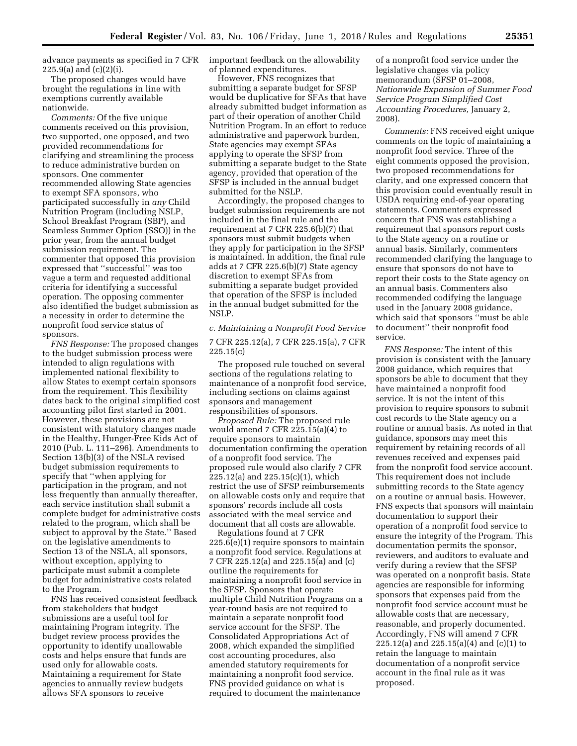advance payments as specified in 7 CFR  $225.9(a)$  and  $(c)(2)(i)$ .

The proposed changes would have brought the regulations in line with exemptions currently available nationwide.

*Comments:* Of the five unique comments received on this provision, two supported, one opposed, and two provided recommendations for clarifying and streamlining the process to reduce administrative burden on sponsors. One commenter recommended allowing State agencies to exempt SFA sponsors, who participated successfully in *any* Child Nutrition Program (including NSLP, School Breakfast Program (SBP), and Seamless Summer Option (SSO)) in the prior year, from the annual budget submission requirement. The commenter that opposed this provision expressed that ''successful'' was too vague a term and requested additional criteria for identifying a successful operation. The opposing commenter also identified the budget submission as a necessity in order to determine the nonprofit food service status of sponsors.

*FNS Response:* The proposed changes to the budget submission process were intended to align regulations with implemented national flexibility to allow States to exempt certain sponsors from the requirement. This flexibility dates back to the original simplified cost accounting pilot first started in 2001. However, these provisions are not consistent with statutory changes made in the Healthy, Hunger-Free Kids Act of 2010 (Pub. L. 111–296). Amendments to Section 13(b)(3) of the NSLA revised budget submission requirements to specify that ''when applying for participation in the program, and not less frequently than annually thereafter, each service institution shall submit a complete budget for administrative costs related to the program, which shall be subject to approval by the State.'' Based on the legislative amendments to Section 13 of the NSLA, all sponsors, without exception, applying to participate must submit a complete budget for administrative costs related to the Program.

FNS has received consistent feedback from stakeholders that budget submissions are a useful tool for maintaining Program integrity. The budget review process provides the opportunity to identify unallowable costs and helps ensure that funds are used only for allowable costs. Maintaining a requirement for State agencies to annually review budgets allows SFA sponsors to receive

important feedback on the allowability of planned expenditures.

However, FNS recognizes that submitting a separate budget for SFSP would be duplicative for SFAs that have already submitted budget information as part of their operation of another Child Nutrition Program. In an effort to reduce administrative and paperwork burden, State agencies may exempt SFAs applying to operate the SFSP from submitting a separate budget to the State agency, provided that operation of the SFSP is included in the annual budget submitted for the NSLP.

Accordingly, the proposed changes to budget submission requirements are not included in the final rule and the requirement at 7 CFR 225.6(b)(7) that sponsors must submit budgets when they apply for participation in the SFSP is maintained. In addition, the final rule adds at 7 CFR 225.6(b)(7) State agency discretion to exempt SFAs from submitting a separate budget provided that operation of the SFSP is included in the annual budget submitted for the NSLP.

## *c. Maintaining a Nonprofit Food Service*

7 CFR 225.12(a), 7 CFR 225.15(a), 7 CFR 225.15(c)

The proposed rule touched on several sections of the regulations relating to maintenance of a nonprofit food service, including sections on claims against sponsors and management responsibilities of sponsors.

*Proposed Rule:* The proposed rule would amend 7 CFR 225.15(a)(4) to require sponsors to maintain documentation confirming the operation of a nonprofit food service. The proposed rule would also clarify 7 CFR 225.12(a) and 225.15(c)(1), which restrict the use of SFSP reimbursements on allowable costs only and require that sponsors' records include all costs associated with the meal service and document that all costs are allowable.

Regulations found at 7 CFR 225.6(e)(1) require sponsors to maintain a nonprofit food service. Regulations at 7 CFR 225.12(a) and 225.15(a) and (c) outline the requirements for maintaining a nonprofit food service in the SFSP. Sponsors that operate multiple Child Nutrition Programs on a year-round basis are not required to maintain a separate nonprofit food service account for the SFSP. The Consolidated Appropriations Act of 2008, which expanded the simplified cost accounting procedures, also amended statutory requirements for maintaining a nonprofit food service. FNS provided guidance on what is required to document the maintenance

of a nonprofit food service under the legislative changes via policy memorandum (SFSP 01–2008, *Nationwide Expansion of Summer Food Service Program Simplified Cost Accounting Procedures,* January 2, 2008).

*Comments:* FNS received eight unique comments on the topic of maintaining a nonprofit food service. Three of the eight comments opposed the provision, two proposed recommendations for clarity, and one expressed concern that this provision could eventually result in USDA requiring end-of-year operating statements. Commenters expressed concern that FNS was establishing a requirement that sponsors report costs to the State agency on a routine or annual basis. Similarly, commenters recommended clarifying the language to ensure that sponsors do not have to report their costs to the State agency on an annual basis. Commenters also recommended codifying the language used in the January 2008 guidance, which said that sponsors ''must be able to document'' their nonprofit food service.

*FNS Response:* The intent of this provision is consistent with the January 2008 guidance, which requires that sponsors be able to document that they have maintained a nonprofit food service. It is not the intent of this provision to require sponsors to submit cost records to the State agency on a routine or annual basis. As noted in that guidance, sponsors may meet this requirement by retaining records of all revenues received and expenses paid from the nonprofit food service account. This requirement does not include submitting records to the State agency on a routine or annual basis. However, FNS expects that sponsors will maintain documentation to support their operation of a nonprofit food service to ensure the integrity of the Program. This documentation permits the sponsor, reviewers, and auditors to evaluate and verify during a review that the SFSP was operated on a nonprofit basis. State agencies are responsible for informing sponsors that expenses paid from the nonprofit food service account must be allowable costs that are necessary, reasonable, and properly documented. Accordingly, FNS will amend 7 CFR 225.12(a) and 225.15(a)(4) and (c)(1) to retain the language to maintain documentation of a nonprofit service account in the final rule as it was proposed.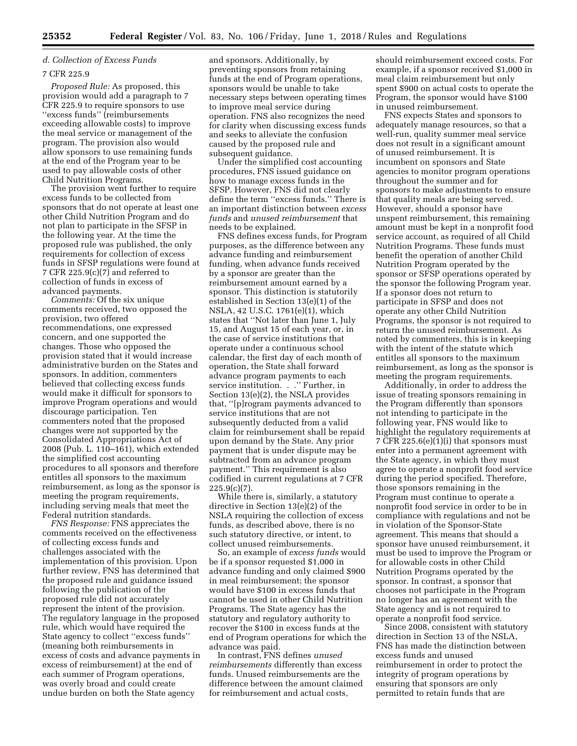## *d. Collection of Excess Funds*

#### 7 CFR 225.9

*Proposed Rule:* As proposed, this provision would add a paragraph to 7 CFR 225.9 to require sponsors to use ''excess funds'' (reimbursements exceeding allowable costs) to improve the meal service or management of the program. The provision also would allow sponsors to use remaining funds at the end of the Program year to be used to pay allowable costs of other Child Nutrition Programs.

The provision went further to require excess funds to be collected from sponsors that do not operate at least one other Child Nutrition Program and do not plan to participate in the SFSP in the following year. At the time the proposed rule was published, the only requirements for collection of excess funds in SFSP regulations were found at 7 CFR 225.9(c)(7) and referred to collection of funds in excess of advanced payments.

*Comments:* Of the six unique comments received, two opposed the provision, two offered recommendations, one expressed concern, and one supported the changes. Those who opposed the provision stated that it would increase administrative burden on the States and sponsors. In addition, commenters believed that collecting excess funds would make it difficult for sponsors to improve Program operations and would discourage participation. Ten commenters noted that the proposed changes were not supported by the Consolidated Appropriations Act of 2008 (Pub. L. 110–161), which extended the simplified cost accounting procedures to all sponsors and therefore entitles all sponsors to the maximum reimbursement, as long as the sponsor is meeting the program requirements, including serving meals that meet the Federal nutrition standards.

*FNS Response:* FNS appreciates the comments received on the effectiveness of collecting excess funds and challenges associated with the implementation of this provision. Upon further review, FNS has determined that the proposed rule and guidance issued following the publication of the proposed rule did not accurately represent the intent of the provision. The regulatory language in the proposed rule, which would have required the State agency to collect ''excess funds'' (meaning both reimbursements in excess of costs and advance payments in excess of reimbursement) at the end of each summer of Program operations, was overly broad and could create undue burden on both the State agency

and sponsors. Additionally, by preventing sponsors from retaining funds at the end of Program operations, sponsors would be unable to take necessary steps between operating times to improve meal service during operation. FNS also recognizes the need for clarity when discussing excess funds and seeks to alleviate the confusion caused by the proposed rule and subsequent guidance.

Under the simplified cost accounting procedures, FNS issued guidance on how to manage excess funds in the SFSP. However, FNS did not clearly define the term ''excess funds.'' There is an important distinction between *excess funds* and *unused reimbursement* that needs to be explained.

FNS defines excess funds, for Program purposes, as the difference between any advance funding and reimbursement funding, when advance funds received by a sponsor are greater than the reimbursement amount earned by a sponsor. This distinction is statutorily established in Section 13(e)(1) of the NSLA, 42 U.S.C. 1761(e)(1), which states that ''Not later than June 1, July 15, and August 15 of each year, or, in the case of service institutions that operate under a continuous school calendar, the first day of each month of operation, the State shall forward advance program payments to each service institution. . .'' Further, in Section 13(e)(2), the NSLA provides that, ''[p]rogram payments advanced to service institutions that are not subsequently deducted from a valid claim for reimbursement shall be repaid upon demand by the State. Any prior payment that is under dispute may be subtracted from an advance program payment.'' This requirement is also codified in current regulations at 7 CFR  $225.9(c)(7)$ .

While there is, similarly, a statutory directive in Section 13(e)(2) of the NSLA requiring the collection of excess funds, as described above, there is no such statutory directive, or intent, to collect unused reimbursements.

So, an example of *excess funds* would be if a sponsor requested \$1,000 in advance funding and only claimed \$900 in meal reimbursement; the sponsor would have \$100 in excess funds that cannot be used in other Child Nutrition Programs. The State agency has the statutory and regulatory authority to recover the \$100 in excess funds at the end of Program operations for which the advance was paid.

In contrast, FNS defines *unused reimbursements* differently than excess funds. Unused reimbursements are the difference between the amount claimed for reimbursement and actual costs,

should reimbursement exceed costs. For example, if a sponsor received \$1,000 in meal claim reimbursement but only spent \$900 on actual costs to operate the Program, the sponsor would have \$100 in unused reimbursement.

FNS expects States and sponsors to adequately manage resources, so that a well-run, quality summer meal service does not result in a significant amount of unused reimbursement. It is incumbent on sponsors and State agencies to monitor program operations throughout the summer and for sponsors to make adjustments to ensure that quality meals are being served. However, should a sponsor have unspent reimbursement, this remaining amount must be kept in a nonprofit food service account, as required of all Child Nutrition Programs. These funds must benefit the operation of another Child Nutrition Program operated by the sponsor or SFSP operations operated by the sponsor the following Program year. If a sponsor does not return to participate in SFSP and does not operate any other Child Nutrition Programs, the sponsor is not required to return the unused reimbursement. As noted by commenters, this is in keeping with the intent of the statute which entitles all sponsors to the maximum reimbursement, as long as the sponsor is meeting the program requirements.

Additionally, in order to address the issue of treating sponsors remaining in the Program differently than sponsors not intending to participate in the following year, FNS would like to highlight the regulatory requirements at 7 CFR 225.6(e)(1)(i) that sponsors must enter into a permanent agreement with the State agency, in which they must agree to operate a nonprofit food service during the period specified. Therefore, those sponsors remaining in the Program must continue to operate a nonprofit food service in order to be in compliance with regulations and not be in violation of the Sponsor-State agreement. This means that should a sponsor have unused reimbursement, it must be used to improve the Program or for allowable costs in other Child Nutrition Programs operated by the sponsor. In contrast, a sponsor that chooses not participate in the Program no longer has an agreement with the State agency and is not required to operate a nonprofit food service.

Since 2008, consistent with statutory direction in Section 13 of the NSLA, FNS has made the distinction between excess funds and unused reimbursement in order to protect the integrity of program operations by ensuring that sponsors are only permitted to retain funds that are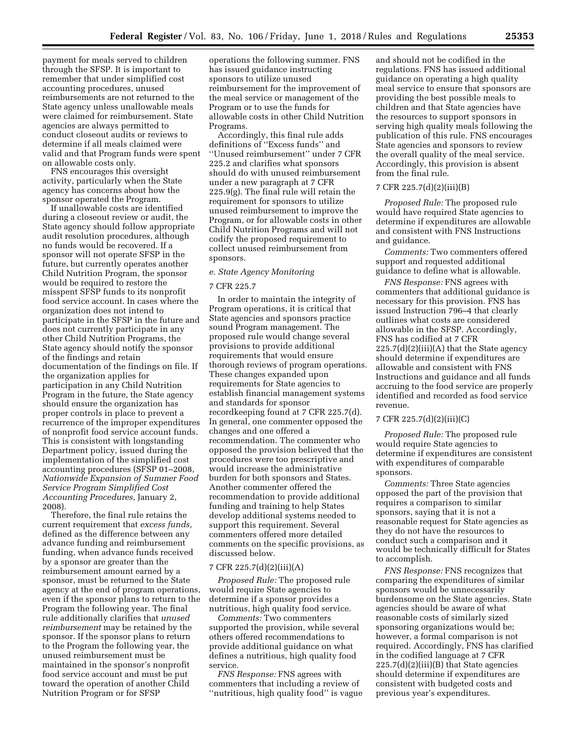payment for meals served to children through the SFSP. It is important to remember that under simplified cost accounting procedures, unused reimbursements are not returned to the State agency unless unallowable meals were claimed for reimbursement. State agencies are always permitted to conduct closeout audits or reviews to determine if all meals claimed were valid and that Program funds were spent on allowable costs only.

FNS encourages this oversight activity, particularly when the State agency has concerns about how the sponsor operated the Program.

If unallowable costs are identified during a closeout review or audit, the State agency should follow appropriate audit resolution procedures, although no funds would be recovered. If a sponsor will not operate SFSP in the future, but currently operates another Child Nutrition Program, the sponsor would be required to restore the misspent SFSP funds to its nonprofit food service account. In cases where the organization does not intend to participate in the SFSP in the future and does not currently participate in any other Child Nutrition Programs, the State agency should notify the sponsor of the findings and retain documentation of the findings on file. If the organization applies for participation in any Child Nutrition Program in the future, the State agency should ensure the organization has proper controls in place to prevent a recurrence of the improper expenditures of nonprofit food service account funds. This is consistent with longstanding Department policy, issued during the implementation of the simplified cost accounting procedures (SFSP 01–2008, *Nationwide Expansion of Summer Food Service Program Simplified Cost Accounting Procedures,* January 2, 2008).

Therefore, the final rule retains the current requirement that *excess funds,*  defined as the difference between any advance funding and reimbursement funding, when advance funds received by a sponsor are greater than the reimbursement amount earned by a sponsor, must be returned to the State agency at the end of program operations, even if the sponsor plans to return to the Program the following year. The final rule additionally clarifies that *unused reimbursement* may be retained by the sponsor. If the sponsor plans to return to the Program the following year, the unused reimbursement must be maintained in the sponsor's nonprofit food service account and must be put toward the operation of another Child Nutrition Program or for SFSP

operations the following summer. FNS has issued guidance instructing sponsors to utilize unused reimbursement for the improvement of the meal service or management of the Program or to use the funds for allowable costs in other Child Nutrition Programs.

Accordingly, this final rule adds definitions of ''Excess funds'' and ''Unused reimbursement'' under 7 CFR 225.2 and clarifies what sponsors should do with unused reimbursement under a new paragraph at 7 CFR 225.9(g). The final rule will retain the requirement for sponsors to utilize unused reimbursement to improve the Program, or for allowable costs in other Child Nutrition Programs and will not codify the proposed requirement to collect unused reimbursement from sponsors.

#### *e. State Agency Monitoring*

#### 7 CFR 225.7

In order to maintain the integrity of Program operations, it is critical that State agencies and sponsors practice sound Program management. The proposed rule would change several provisions to provide additional requirements that would ensure thorough reviews of program operations. These changes expanded upon requirements for State agencies to establish financial management systems and standards for sponsor recordkeeping found at 7 CFR 225.7(d). In general, one commenter opposed the changes and one offered a recommendation. The commenter who opposed the provision believed that the procedures were too prescriptive and would increase the administrative burden for both sponsors and States. Another commenter offered the recommendation to provide additional funding and training to help States develop additional systems needed to support this requirement. Several commenters offered more detailed comments on the specific provisions, as discussed below.

## 7 CFR 225.7(d)(2)(iii)(A)

*Proposed Rule:* The proposed rule would require State agencies to determine if a sponsor provides a nutritious, high quality food service.

*Comments:* Two commenters supported the provision, while several others offered recommendations to provide additional guidance on what defines a nutritious, high quality food service.

*FNS Response:* FNS agrees with commenters that including a review of ''nutritious, high quality food'' is vague and should not be codified in the regulations. FNS has issued additional guidance on operating a high quality meal service to ensure that sponsors are providing the best possible meals to children and that State agencies have the resources to support sponsors in serving high quality meals following the publication of this rule. FNS encourages State agencies and sponsors to review the overall quality of the meal service. Accordingly, this provision is absent from the final rule.

#### 7 CFR 225.7(d)(2)(iii)(B)

*Proposed Rule:* The proposed rule would have required State agencies to determine if expenditures are allowable and consistent with FNS Instructions and guidance.

*Comments:* Two commenters offered support and requested additional guidance to define what is allowable.

*FNS Response:* FNS agrees with commenters that additional guidance is necessary for this provision. FNS has issued Instruction 796–4 that clearly outlines what costs are considered allowable in the SFSP. Accordingly, FNS has codified at 7 CFR  $225.7(d)(2)(iii)(A)$  that the State agency should determine if expenditures are allowable and consistent with FNS Instructions and guidance and all funds accruing to the food service are properly identified and recorded as food service revenue.

## 7 CFR 225.7(d)(2)(iii)(C)

*Proposed Rule:* The proposed rule would require State agencies to determine if expenditures are consistent with expenditures of comparable sponsors.

*Comments:* Three State agencies opposed the part of the provision that requires a comparison to similar sponsors, saying that it is not a reasonable request for State agencies as they do not have the resources to conduct such a comparison and it would be technically difficult for States to accomplish.

*FNS Response:* FNS recognizes that comparing the expenditures of similar sponsors would be unnecessarily burdensome on the State agencies. State agencies should be aware of what reasonable costs of similarly sized sponsoring organizations would be; however, a formal comparison is not required. Accordingly, FNS has clarified in the codified language at 7 CFR 225.7(d)(2)(iii)(B) that State agencies should determine if expenditures are consistent with budgeted costs and previous year's expenditures.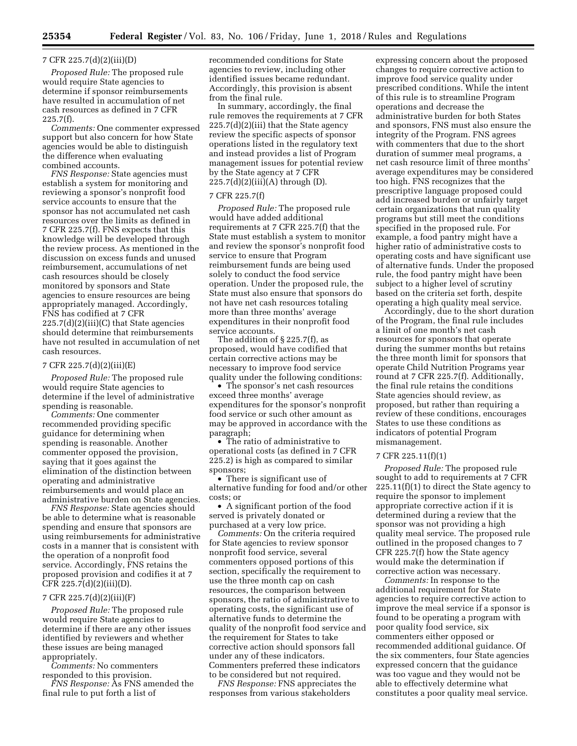## 7 CFR 225.7(d)(2)(iii)(D)

*Proposed Rule:* The proposed rule would require State agencies to determine if sponsor reimbursements have resulted in accumulation of net cash resources as defined in 7 CFR 225.7(f).

*Comments:* One commenter expressed support but also concern for how State agencies would be able to distinguish the difference when evaluating combined accounts.

*FNS Response:* State agencies must establish a system for monitoring and reviewing a sponsor's nonprofit food service accounts to ensure that the sponsor has not accumulated net cash resources over the limits as defined in 7 CFR 225.7(f). FNS expects that this knowledge will be developed through the review process. As mentioned in the discussion on excess funds and unused reimbursement, accumulations of net cash resources should be closely monitored by sponsors and State agencies to ensure resources are being appropriately managed. Accordingly, FNS has codified at 7 CFR  $225.7(d)(2)(iii)(C)$  that State agencies should determine that reimbursements have not resulted in accumulation of net cash resources.

#### 7 CFR 225.7(d)(2)(iii)(E)

*Proposed Rule:* The proposed rule would require State agencies to determine if the level of administrative spending is reasonable.

*Comments:* One commenter recommended providing specific guidance for determining when spending is reasonable. Another commenter opposed the provision, saying that it goes against the elimination of the distinction between operating and administrative reimbursements and would place an administrative burden on State agencies.

*FNS Response:* State agencies should be able to determine what is reasonable spending and ensure that sponsors are using reimbursements for administrative costs in a manner that is consistent with the operation of a nonprofit food service. Accordingly, FNS retains the proposed provision and codifies it at 7 CFR 225.7(d)(2)(iii)(D).

#### 7 CFR 225.7(d)(2)(iii)(F)

*Proposed Rule:* The proposed rule would require State agencies to determine if there are any other issues identified by reviewers and whether these issues are being managed appropriately.

*Comments:* No commenters

responded to this provision. *FNS Response:* As FNS amended the final rule to put forth a list of

recommended conditions for State agencies to review, including other identified issues became redundant. Accordingly, this provision is absent from the final rule.

In summary, accordingly, the final rule removes the requirements at 7 CFR 225.7(d)(2)(iii) that the State agency review the specific aspects of sponsor operations listed in the regulatory text and instead provides a list of Program management issues for potential review by the State agency at 7 CFR 225.7(d)(2)(iii)(A) through (D).

#### 7 CFR 225.7(f)

*Proposed Rule:* The proposed rule would have added additional requirements at 7 CFR 225.7(f) that the State must establish a system to monitor and review the sponsor's nonprofit food service to ensure that Program reimbursement funds are being used solely to conduct the food service operation. Under the proposed rule, the State must also ensure that sponsors do not have net cash resources totaling more than three months' average expenditures in their nonprofit food service accounts.

The addition of § 225.7(f), as proposed, would have codified that certain corrective actions may be necessary to improve food service quality under the following conditions:

• The sponsor's net cash resources exceed three months' average expenditures for the sponsor's nonprofit food service or such other amount as may be approved in accordance with the paragraph;

• The ratio of administrative to operational costs (as defined in 7 CFR 225.2) is high as compared to similar sponsors;

• There is significant use of alternative funding for food and/or other costs; or

• A significant portion of the food served is privately donated or purchased at a very low price.

*Comments:* On the criteria required for State agencies to review sponsor nonprofit food service, several commenters opposed portions of this section, specifically the requirement to use the three month cap on cash resources, the comparison between sponsors, the ratio of administrative to operating costs, the significant use of alternative funds to determine the quality of the nonprofit food service and the requirement for States to take corrective action should sponsors fall under any of these indicators. Commenters preferred these indicators to be considered but not required.

*FNS Response:* FNS appreciates the responses from various stakeholders

expressing concern about the proposed changes to require corrective action to improve food service quality under prescribed conditions. While the intent of this rule is to streamline Program operations and decrease the administrative burden for both States and sponsors, FNS must also ensure the integrity of the Program. FNS agrees with commenters that due to the short duration of summer meal programs, a net cash resource limit of three months' average expenditures may be considered too high. FNS recognizes that the prescriptive language proposed could add increased burden or unfairly target certain organizations that run quality programs but still meet the conditions specified in the proposed rule. For example, a food pantry might have a higher ratio of administrative costs to operating costs and have significant use of alternative funds. Under the proposed rule, the food pantry might have been subject to a higher level of scrutiny based on the criteria set forth, despite operating a high quality meal service.

Accordingly, due to the short duration of the Program, the final rule includes a limit of one month's net cash resources for sponsors that operate during the summer months but retains the three month limit for sponsors that operate Child Nutrition Programs year round at 7 CFR 225.7(f). Additionally, the final rule retains the conditions State agencies should review, as proposed, but rather than requiring a review of these conditions, encourages States to use these conditions as indicators of potential Program mismanagement.

## 7 CFR 225.11(f)(1)

*Proposed Rule:* The proposed rule sought to add to requirements at 7 CFR 225.11(f)(1) to direct the State agency to require the sponsor to implement appropriate corrective action if it is determined during a review that the sponsor was not providing a high quality meal service. The proposed rule outlined in the proposed changes to 7 CFR 225.7(f) how the State agency would make the determination if corrective action was necessary.

*Comments:* In response to the additional requirement for State agencies to require corrective action to improve the meal service if a sponsor is found to be operating a program with poor quality food service, six commenters either opposed or recommended additional guidance. Of the six commenters, four State agencies expressed concern that the guidance was too vague and they would not be able to effectively determine what constitutes a poor quality meal service.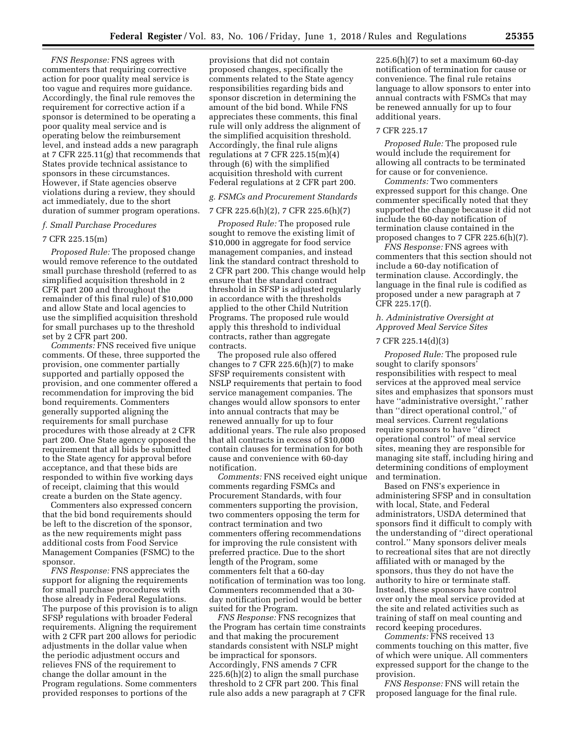*FNS Response:* FNS agrees with commenters that requiring corrective action for poor quality meal service is too vague and requires more guidance. Accordingly, the final rule removes the requirement for corrective action if a sponsor is determined to be operating a poor quality meal service and is operating below the reimbursement level, and instead adds a new paragraph at 7 CFR 225.11(g) that recommends that States provide technical assistance to sponsors in these circumstances. However, if State agencies observe violations during a review, they should act immediately, due to the short duration of summer program operations.

#### *f. Small Purchase Procedures*

#### 7 CFR 225.15(m)

*Proposed Rule:* The proposed change would remove reference to the outdated small purchase threshold (referred to as simplified acquisition threshold in 2 CFR part 200 and throughout the remainder of this final rule) of \$10,000 and allow State and local agencies to use the simplified acquisition threshold for small purchases up to the threshold set by 2 CFR part 200.

*Comments:* FNS received five unique comments. Of these, three supported the provision, one commenter partially supported and partially opposed the provision, and one commenter offered a recommendation for improving the bid bond requirements. Commenters generally supported aligning the requirements for small purchase procedures with those already at 2 CFR part 200. One State agency opposed the requirement that all bids be submitted to the State agency for approval before acceptance, and that these bids are responded to within five working days of receipt, claiming that this would create a burden on the State agency.

Commenters also expressed concern that the bid bond requirements should be left to the discretion of the sponsor, as the new requirements might pass additional costs from Food Service Management Companies (FSMC) to the sponsor.

*FNS Response:* FNS appreciates the support for aligning the requirements for small purchase procedures with those already in Federal Regulations. The purpose of this provision is to align SFSP regulations with broader Federal requirements. Aligning the requirement with 2 CFR part 200 allows for periodic adjustments in the dollar value when the periodic adjustment occurs and relieves FNS of the requirement to change the dollar amount in the Program regulations. Some commenters provided responses to portions of the

provisions that did not contain proposed changes, specifically the comments related to the State agency responsibilities regarding bids and sponsor discretion in determining the amount of the bid bond. While FNS appreciates these comments, this final rule will only address the alignment of the simplified acquisition threshold. Accordingly, the final rule aligns regulations at 7 CFR  $225.15(m)(4)$ through (6) with the simplified acquisition threshold with current Federal regulations at 2 CFR part 200.

#### *g. FSMCs and Procurement Standards*

#### 7 CFR 225.6(h)(2), 7 CFR 225.6(h)(7)

*Proposed Rule:* The proposed rule sought to remove the existing limit of \$10,000 in aggregate for food service management companies, and instead link the standard contract threshold to 2 CFR part 200. This change would help ensure that the standard contract threshold in SFSP is adjusted regularly in accordance with the thresholds applied to the other Child Nutrition Programs. The proposed rule would apply this threshold to individual contracts, rather than aggregate contracts.

The proposed rule also offered changes to 7 CFR 225.6(h) $(7)$  to make SFSP requirements consistent with NSLP requirements that pertain to food service management companies. The changes would allow sponsors to enter into annual contracts that may be renewed annually for up to four additional years. The rule also proposed that all contracts in excess of \$10,000 contain clauses for termination for both cause and convenience with 60-day notification.

*Comments:* FNS received eight unique comments regarding FSMCs and Procurement Standards, with four commenters supporting the provision, two commenters opposing the term for contract termination and two commenters offering recommendations for improving the rule consistent with preferred practice. Due to the short length of the Program, some commenters felt that a 60-day notification of termination was too long. Commenters recommended that a 30 day notification period would be better suited for the Program.

*FNS Response:* FNS recognizes that the Program has certain time constraints and that making the procurement standards consistent with NSLP might be impractical for sponsors. Accordingly, FNS amends 7 CFR 225.6(h)(2) to align the small purchase threshold to 2 CFR part 200. This final rule also adds a new paragraph at 7 CFR

 $225.6(h)(7)$  to set a maximum 60-day notification of termination for cause or convenience. The final rule retains language to allow sponsors to enter into annual contracts with FSMCs that may be renewed annually for up to four additional years.

#### 7 CFR 225.17

*Proposed Rule:* The proposed rule would include the requirement for allowing all contracts to be terminated for cause or for convenience.

*Comments:* Two commenters expressed support for this change. One commenter specifically noted that they supported the change because it did not include the 60-day notification of termination clause contained in the proposed changes to 7 CFR 225.6(h)(7).

*FNS Response:* FNS agrees with commenters that this section should not include a 60-day notification of termination clause. Accordingly, the language in the final rule is codified as proposed under a new paragraph at 7 CFR 225.17(f).

## *h. Administrative Oversight at Approved Meal Service Sites*

## 7 CFR 225.14(d)(3)

*Proposed Rule:* The proposed rule sought to clarify sponsors' responsibilities with respect to meal services at the approved meal service sites and emphasizes that sponsors must have ''administrative oversight,'' rather than ''direct operational control,'' of meal services. Current regulations require sponsors to have ''direct operational control'' of meal service sites, meaning they are responsible for managing site staff, including hiring and determining conditions of employment and termination.

Based on FNS's experience in administering SFSP and in consultation with local, State, and Federal administrators, USDA determined that sponsors find it difficult to comply with the understanding of ''direct operational control.'' Many sponsors deliver meals to recreational sites that are not directly affiliated with or managed by the sponsors, thus they do not have the authority to hire or terminate staff. Instead, these sponsors have control over only the meal service provided at the site and related activities such as training of staff on meal counting and record keeping procedures.

*Comments:* FNS received 13 comments touching on this matter, five of which were unique. All commenters expressed support for the change to the provision.

*FNS Response:* FNS will retain the proposed language for the final rule.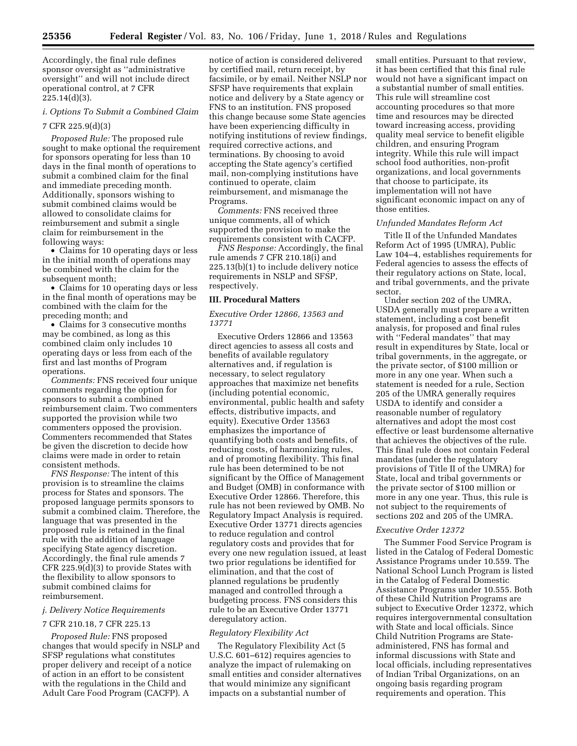Accordingly, the final rule defines sponsor oversight as ''administrative oversight'' and will not include direct operational control, at 7 CFR 225.14(d)(3).

## *i. Options To Submit a Combined Claim*

## 7 CFR 225.9(d)(3)

*Proposed Rule:* The proposed rule sought to make optional the requirement for sponsors operating for less than 10 days in the final month of operations to submit a combined claim for the final and immediate preceding month. Additionally, sponsors wishing to submit combined claims would be allowed to consolidate claims for reimbursement and submit a single claim for reimbursement in the following ways:

• Claims for 10 operating days or less in the initial month of operations may be combined with the claim for the subsequent month;

• Claims for 10 operating days or less in the final month of operations may be combined with the claim for the preceding month; and

• Claims for 3 consecutive months may be combined, as long as this combined claim only includes 10 operating days or less from each of the first and last months of Program operations.

*Comments:* FNS received four unique comments regarding the option for sponsors to submit a combined reimbursement claim. Two commenters supported the provision while two commenters opposed the provision. Commenters recommended that States be given the discretion to decide how claims were made in order to retain consistent methods.

*FNS Response:* The intent of this provision is to streamline the claims process for States and sponsors. The proposed language permits sponsors to submit a combined claim. Therefore, the language that was presented in the proposed rule is retained in the final rule with the addition of language specifying State agency discretion. Accordingly, the final rule amends 7 CFR 225.9(d)(3) to provide States with the flexibility to allow sponsors to submit combined claims for reimbursement.

## *j. Delivery Notice Requirements*

#### 7 CFR 210.18, 7 CFR 225.13

*Proposed Rule:* FNS proposed changes that would specify in NSLP and SFSP regulations what constitutes proper delivery and receipt of a notice of action in an effort to be consistent with the regulations in the Child and Adult Care Food Program (CACFP). A

notice of action is considered delivered by certified mail, return receipt, by facsimile, or by email. Neither NSLP nor SFSP have requirements that explain notice and delivery by a State agency or FNS to an institution. FNS proposed this change because some State agencies have been experiencing difficulty in notifying institutions of review findings, required corrective actions, and terminations. By choosing to avoid accepting the State agency's certified mail, non-complying institutions have continued to operate, claim reimbursement, and mismanage the Programs.

*Comments:* FNS received three unique comments, all of which supported the provision to make the requirements consistent with CACFP.

*FNS Response:* Accordingly, the final rule amends 7 CFR 210.18(i) and 225.13(b)(1) to include delivery notice requirements in NSLP and SFSP, respectively.

#### **III. Procedural Matters**

## *Executive Order 12866, 13563 and 13771*

Executive Orders 12866 and 13563 direct agencies to assess all costs and benefits of available regulatory alternatives and, if regulation is necessary, to select regulatory approaches that maximize net benefits (including potential economic, environmental, public health and safety effects, distributive impacts, and equity). Executive Order 13563 emphasizes the importance of quantifying both costs and benefits, of reducing costs, of harmonizing rules, and of promoting flexibility. This final rule has been determined to be not significant by the Office of Management and Budget (OMB) in conformance with Executive Order 12866. Therefore, this rule has not been reviewed by OMB. No Regulatory Impact Analysis is required. Executive Order 13771 directs agencies to reduce regulation and control regulatory costs and provides that for every one new regulation issued, at least two prior regulations be identified for elimination, and that the cost of planned regulations be prudently managed and controlled through a budgeting process. FNS considers this rule to be an Executive Order 13771 deregulatory action.

## *Regulatory Flexibility Act*

The Regulatory Flexibility Act (5 U.S.C. 601–612) requires agencies to analyze the impact of rulemaking on small entities and consider alternatives that would minimize any significant impacts on a substantial number of

small entities. Pursuant to that review, it has been certified that this final rule would not have a significant impact on a substantial number of small entities. This rule will streamline cost accounting procedures so that more time and resources may be directed toward increasing access, providing quality meal service to benefit eligible children, and ensuring Program integrity. While this rule will impact school food authorities, non-profit organizations, and local governments that choose to participate, its implementation will not have significant economic impact on any of those entities.

#### *Unfunded Mandates Reform Act*

Title II of the Unfunded Mandates Reform Act of 1995 (UMRA), Public Law 104–4, establishes requirements for Federal agencies to assess the effects of their regulatory actions on State, local, and tribal governments, and the private sector.

Under section 202 of the UMRA, USDA generally must prepare a written statement, including a cost benefit analysis, for proposed and final rules with ''Federal mandates'' that may result in expenditures by State, local or tribal governments, in the aggregate, or the private sector, of \$100 million or more in any one year. When such a statement is needed for a rule, Section 205 of the UMRA generally requires USDA to identify and consider a reasonable number of regulatory alternatives and adopt the most cost effective or least burdensome alternative that achieves the objectives of the rule. This final rule does not contain Federal mandates (under the regulatory provisions of Title II of the UMRA) for State, local and tribal governments or the private sector of \$100 million or more in any one year. Thus, this rule is not subject to the requirements of sections 202 and 205 of the UMRA.

#### *Executive Order 12372*

The Summer Food Service Program is listed in the Catalog of Federal Domestic Assistance Programs under 10.559. The National School Lunch Program is listed in the Catalog of Federal Domestic Assistance Programs under 10.555. Both of these Child Nutrition Programs are subject to Executive Order 12372, which requires intergovernmental consultation with State and local officials. Since Child Nutrition Programs are Stateadministered, FNS has formal and informal discussions with State and local officials, including representatives of Indian Tribal Organizations, on an ongoing basis regarding program requirements and operation. This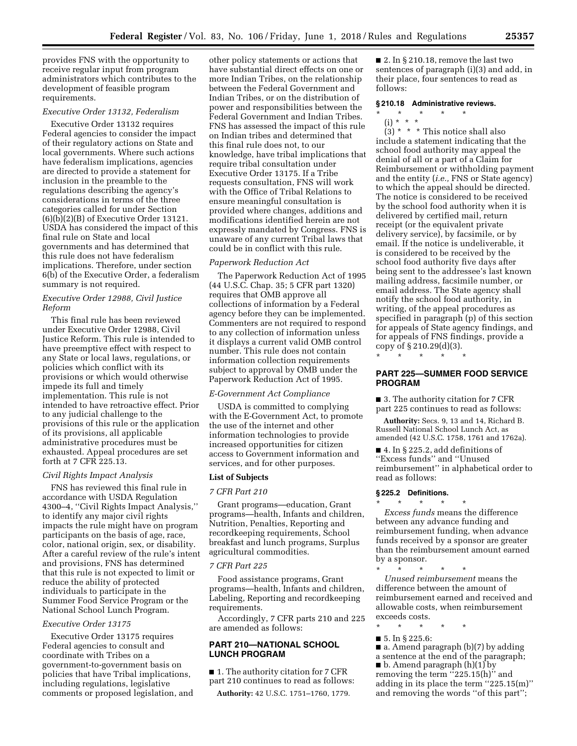provides FNS with the opportunity to receive regular input from program administrators which contributes to the development of feasible program requirements.

## *Executive Order 13132, Federalism*

Executive Order 13132 requires Federal agencies to consider the impact of their regulatory actions on State and local governments. Where such actions have federalism implications, agencies are directed to provide a statement for inclusion in the preamble to the regulations describing the agency's considerations in terms of the three categories called for under Section (6)(b)(2)(B) of Executive Order 13121. USDA has considered the impact of this final rule on State and local governments and has determined that this rule does not have federalism implications. Therefore, under section 6(b) of the Executive Order, a federalism summary is not required.

## *Executive Order 12988, Civil Justice Reform*

This final rule has been reviewed under Executive Order 12988, Civil Justice Reform. This rule is intended to have preemptive effect with respect to any State or local laws, regulations, or policies which conflict with its provisions or which would otherwise impede its full and timely implementation. This rule is not intended to have retroactive effect. Prior to any judicial challenge to the provisions of this rule or the application of its provisions, all applicable administrative procedures must be exhausted. Appeal procedures are set forth at 7 CFR 225.13.

## *Civil Rights Impact Analysis*

FNS has reviewed this final rule in accordance with USDA Regulation 4300–4, ''Civil Rights Impact Analysis,'' to identify any major civil rights impacts the rule might have on program participants on the basis of age, race, color, national origin, sex, or disability. After a careful review of the rule's intent and provisions, FNS has determined that this rule is not expected to limit or reduce the ability of protected individuals to participate in the Summer Food Service Program or the National School Lunch Program.

## *Executive Order 13175*

Executive Order 13175 requires Federal agencies to consult and coordinate with Tribes on a government-to-government basis on policies that have Tribal implications, including regulations, legislative comments or proposed legislation, and other policy statements or actions that have substantial direct effects on one or more Indian Tribes, on the relationship between the Federal Government and Indian Tribes, or on the distribution of power and responsibilities between the Federal Government and Indian Tribes. FNS has assessed the impact of this rule on Indian tribes and determined that this final rule does not, to our knowledge, have tribal implications that require tribal consultation under Executive Order 13175. If a Tribe requests consultation, FNS will work with the Office of Tribal Relations to ensure meaningful consultation is provided where changes, additions and modifications identified herein are not expressly mandated by Congress. FNS is unaware of any current Tribal laws that could be in conflict with this rule.

## *Paperwork Reduction Act*

The Paperwork Reduction Act of 1995 (44 U.S.C. Chap. 35; 5 CFR part 1320) requires that OMB approve all collections of information by a Federal agency before they can be implemented. Commenters are not required to respond to any collection of information unless it displays a current valid OMB control number. This rule does not contain information collection requirements subject to approval by OMB under the Paperwork Reduction Act of 1995.

#### *E-Government Act Compliance*

USDA is committed to complying with the E-Government Act, to promote the use of the internet and other information technologies to provide increased opportunities for citizen access to Government information and services, and for other purposes.

## **List of Subjects**

### *7 CFR Part 210*

Grant programs—education, Grant programs—health, Infants and children, Nutrition, Penalties, Reporting and recordkeeping requirements, School breakfast and lunch programs, Surplus agricultural commodities.

## *7 CFR Part 225*

Food assistance programs, Grant programs—health, Infants and children, Labeling, Reporting and recordkeeping requirements.

Accordingly, 7 CFR parts 210 and 225 are amended as follows:

## **PART 210—NATIONAL SCHOOL LUNCH PROGRAM**

■ 1. The authority citation for 7 CFR part 210 continues to read as follows:

**Authority:** 42 U.S.C. 1751–1760, 1779.

 $\blacksquare$  2. In § 210.18, remove the last two sentences of paragraph (i)(3) and add, in their place, four sentences to read as follows:

#### **§ 210.18 Administrative reviews.**

\* \* \* \* \*

(i) \* \* \*

 $(3)$  \* \* \* This notice shall also include a statement indicating that the school food authority may appeal the denial of all or a part of a Claim for Reimbursement or withholding payment and the entity (*i.e.,* FNS or State agency) to which the appeal should be directed. The notice is considered to be received by the school food authority when it is delivered by certified mail, return receipt (or the equivalent private delivery service), by facsimile, or by email. If the notice is undeliverable, it is considered to be received by the school food authority five days after being sent to the addressee's last known mailing address, facsimile number, or email address. The State agency shall notify the school food authority, in writing, of the appeal procedures as specified in paragraph (p) of this section for appeals of State agency findings, and for appeals of FNS findings, provide a copy of § 210.29(d)(3).

**PART 225—SUMMER FOOD SERVICE PROGRAM** 

\* \* \* \* \*

■ 3. The authority citation for 7 CFR part 225 continues to read as follows:

**Authority:** Secs. 9, 13 and 14, Richard B. Russell National School Lunch Act, as amended (42 U.S.C. 1758, 1761 and 1762a).

■ 4. In § 225.2, add definitions of ''Excess funds'' and ''Unused reimbursement'' in alphabetical order to read as follows:

## **§ 225.2 Definitions.**

\* \* \* \* \*

*Excess funds* means the difference between any advance funding and reimbursement funding, when advance funds received by a sponsor are greater than the reimbursement amount earned by a sponsor.

\* \* \* \* \* *Unused reimbursement* means the difference between the amount of reimbursement earned and received and allowable costs, when reimbursement exceeds costs.

\* \* \* \* \*

■ 5. In § 225.6:

■ a. Amend paragraph (b)(7) by adding a sentence at the end of the paragraph; ■ b. Amend paragraph (h)(1) by removing the term "225.15(h)" and adding in its place the term ''225.15(m)'' and removing the words ''of this part'';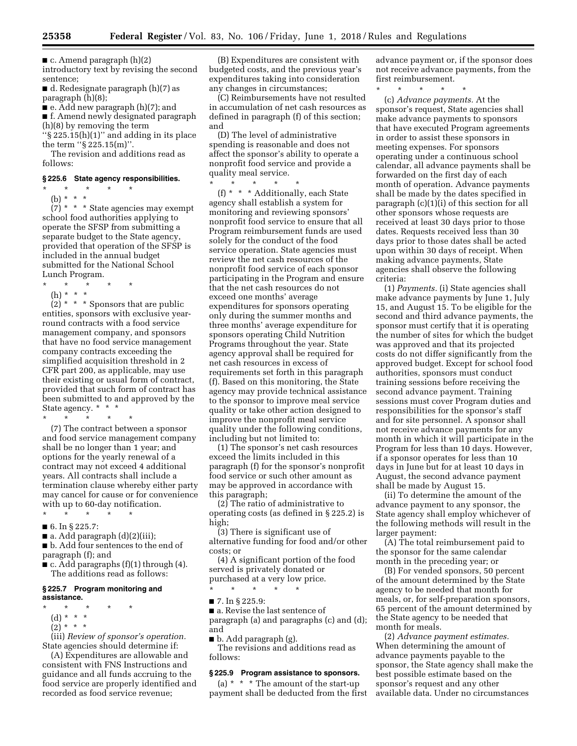$\blacksquare$  c. Amend paragraph (h)(2)

introductory text by revising the second sentence;

■ d. Redesignate paragraph (h)(7) as paragraph (h)(8);

■ e. Add new paragraph (h)(7); and

■ f. Amend newly designated paragraph (h)(8) by removing the term

''§ 225.15(h)(1)'' and adding in its place the term ''§ 225.15(m)''.

The revision and additions read as follows:

## **§ 225.6 State agency responsibilities.**

 $\star$   $\star$   $\star$ 

(b) \* \* \*  $(7)$  \* \* \* State agencies may exempt school food authorities applying to operate the SFSP from submitting a separate budget to the State agency, provided that operation of the SFSP is included in the annual budget submitted for the National School

Lunch Program. \* \* \* \* \*

(h) \* \* \*

 $(2)$  \* \* \* Sponsors that are public entities, sponsors with exclusive yearround contracts with a food service management company, and sponsors that have no food service management company contracts exceeding the simplified acquisition threshold in 2 CFR part 200, as applicable, may use their existing or usual form of contract, provided that such form of contract has been submitted to and approved by the State agency. \* \* \*

\* \* \* \* \* (7) The contract between a sponsor and food service management company shall be no longer than 1 year; and options for the yearly renewal of a contract may not exceed 4 additional years. All contracts shall include a termination clause whereby either party may cancel for cause or for convenience with up to 60-day notification.

- \* \* \* \* \* ■ 6. In § 225.7:
- a. Add paragraph (d)(2)(iii);

■ b. Add four sentences to the end of paragraph (f); and

■ c. Add paragraphs (f)(1) through (4). The additions read as follows:

#### **§ 225.7 Program monitoring and assistance.**

- \* \* \* \* \*
- (d) \* \* \*
- $(2) * * * *$

(iii) *Review of sponsor's operation.*  State agencies should determine if:

(A) Expenditures are allowable and consistent with FNS Instructions and guidance and all funds accruing to the food service are properly identified and recorded as food service revenue;

(B) Expenditures are consistent with budgeted costs, and the previous year's expenditures taking into consideration any changes in circumstances;

(C) Reimbursements have not resulted in accumulation of net cash resources as defined in paragraph (f) of this section; and

(D) The level of administrative spending is reasonable and does not affect the sponsor's ability to operate a nonprofit food service and provide a quality meal service.

\* \* \* \* \*

(f) \* \* \* Additionally, each State agency shall establish a system for monitoring and reviewing sponsors' nonprofit food service to ensure that all Program reimbursement funds are used solely for the conduct of the food service operation. State agencies must review the net cash resources of the nonprofit food service of each sponsor participating in the Program and ensure that the net cash resources do not exceed one months' average expenditures for sponsors operating only during the summer months and three months' average expenditure for sponsors operating Child Nutrition Programs throughout the year. State agency approval shall be required for net cash resources in excess of requirements set forth in this paragraph (f). Based on this monitoring, the State agency may provide technical assistance to the sponsor to improve meal service quality or take other action designed to improve the nonprofit meal service quality under the following conditions, including but not limited to:

(1) The sponsor's net cash resources exceed the limits included in this paragraph (f) for the sponsor's nonprofit food service or such other amount as may be approved in accordance with this paragraph;

(2) The ratio of administrative to operating costs (as defined in § 225.2) is high;

(3) There is significant use of alternative funding for food and/or other costs; or

(4) A significant portion of the food served is privately donated or purchased at a very low price.

\* \* \* \* \*

■ 7. In § 225.9:

■ a. Revise the last sentence of paragraph (a) and paragraphs (c) and (d); and

 $\blacksquare$  b. Add paragraph (g). The revisions and additions read as follows:

#### **§ 225.9 Program assistance to sponsors.**

(a)  $* * * The amount of the start-up$ payment shall be deducted from the first advance payment or, if the sponsor does not receive advance payments, from the first reimbursement.

\* \* \* \* \*

(c) *Advance payments.* At the sponsor's request, State agencies shall make advance payments to sponsors that have executed Program agreements in order to assist these sponsors in meeting expenses. For sponsors operating under a continuous school calendar, all advance payments shall be forwarded on the first day of each month of operation. Advance payments shall be made by the dates specified in paragraph (c)(1)(i) of this section for all other sponsors whose requests are received at least 30 days prior to those dates. Requests received less than 30 days prior to those dates shall be acted upon within 30 days of receipt. When making advance payments, State agencies shall observe the following criteria:

(1) *Payments.* (i) State agencies shall make advance payments by June 1, July 15, and August 15. To be eligible for the second and third advance payments, the sponsor must certify that it is operating the number of sites for which the budget was approved and that its projected costs do not differ significantly from the approved budget. Except for school food authorities, sponsors must conduct training sessions before receiving the second advance payment. Training sessions must cover Program duties and responsibilities for the sponsor's staff and for site personnel. A sponsor shall not receive advance payments for any month in which it will participate in the Program for less than 10 days. However, if a sponsor operates for less than 10 days in June but for at least 10 days in August, the second advance payment shall be made by August 15.

(ii) To determine the amount of the advance payment to any sponsor, the State agency shall employ whichever of the following methods will result in the larger payment:

(A) The total reimbursement paid to the sponsor for the same calendar month in the preceding year; or

(B) For vended sponsors, 50 percent of the amount determined by the State agency to be needed that month for meals, or, for self-preparation sponsors, 65 percent of the amount determined by the State agency to be needed that month for meals.

(2) *Advance payment estimates.*  When determining the amount of advance payments payable to the sponsor, the State agency shall make the best possible estimate based on the sponsor's request and any other available data. Under no circumstances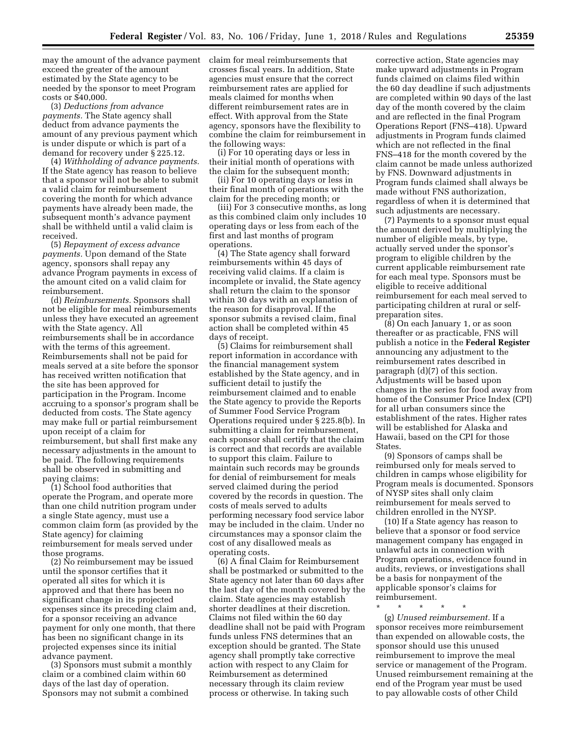may the amount of the advance payment claim for meal reimbursements that exceed the greater of the amount estimated by the State agency to be needed by the sponsor to meet Program costs or \$40,000.

(3) *Deductions from advance payments.* The State agency shall deduct from advance payments the amount of any previous payment which is under dispute or which is part of a demand for recovery under § 225.12.

(4) *Withholding of advance payments.*  If the State agency has reason to believe that a sponsor will not be able to submit a valid claim for reimbursement covering the month for which advance payments have already been made, the subsequent month's advance payment shall be withheld until a valid claim is received.

(5) *Repayment of excess advance payments.* Upon demand of the State agency, sponsors shall repay any advance Program payments in excess of the amount cited on a valid claim for reimbursement.

(d) *Reimbursements.* Sponsors shall not be eligible for meal reimbursements unless they have executed an agreement with the State agency. All reimbursements shall be in accordance with the terms of this agreement. Reimbursements shall not be paid for meals served at a site before the sponsor has received written notification that the site has been approved for participation in the Program. Income accruing to a sponsor's program shall be deducted from costs. The State agency may make full or partial reimbursement upon receipt of a claim for reimbursement, but shall first make any necessary adjustments in the amount to be paid. The following requirements shall be observed in submitting and paying claims:

(1) School food authorities that operate the Program, and operate more than one child nutrition program under a single State agency, must use a common claim form (as provided by the State agency) for claiming reimbursement for meals served under those programs.

(2) No reimbursement may be issued until the sponsor certifies that it operated all sites for which it is approved and that there has been no significant change in its projected expenses since its preceding claim and, for a sponsor receiving an advance payment for only one month, that there has been no significant change in its projected expenses since its initial advance payment.

(3) Sponsors must submit a monthly claim or a combined claim within 60 days of the last day of operation. Sponsors may not submit a combined

crosses fiscal years. In addition, State agencies must ensure that the correct reimbursement rates are applied for meals claimed for months when different reimbursement rates are in effect. With approval from the State agency, sponsors have the flexibility to combine the claim for reimbursement in the following ways:

(i) For 10 operating days or less in their initial month of operations with the claim for the subsequent month;

(ii) For 10 operating days or less in their final month of operations with the claim for the preceding month; or

(iii) For 3 consecutive months, as long as this combined claim only includes 10 operating days or less from each of the first and last months of program operations.

(4) The State agency shall forward reimbursements within 45 days of receiving valid claims. If a claim is incomplete or invalid, the State agency shall return the claim to the sponsor within 30 days with an explanation of the reason for disapproval. If the sponsor submits a revised claim, final action shall be completed within 45 days of receipt.

(5) Claims for reimbursement shall report information in accordance with the financial management system established by the State agency, and in sufficient detail to justify the reimbursement claimed and to enable the State agency to provide the Reports of Summer Food Service Program Operations required under § 225.8(b). In submitting a claim for reimbursement, each sponsor shall certify that the claim is correct and that records are available to support this claim. Failure to maintain such records may be grounds for denial of reimbursement for meals served claimed during the period covered by the records in question. The costs of meals served to adults performing necessary food service labor may be included in the claim. Under no circumstances may a sponsor claim the cost of any disallowed meals as operating costs.

(6) A final Claim for Reimbursement shall be postmarked or submitted to the State agency not later than 60 days after the last day of the month covered by the claim. State agencies may establish shorter deadlines at their discretion. Claims not filed within the 60 day deadline shall not be paid with Program funds unless FNS determines that an exception should be granted. The State agency shall promptly take corrective action with respect to any Claim for Reimbursement as determined necessary through its claim review process or otherwise. In taking such

corrective action, State agencies may make upward adjustments in Program funds claimed on claims filed within the 60 day deadline if such adjustments are completed within 90 days of the last day of the month covered by the claim and are reflected in the final Program Operations Report (FNS–418). Upward adjustments in Program funds claimed which are not reflected in the final FNS–418 for the month covered by the claim cannot be made unless authorized by FNS. Downward adjustments in Program funds claimed shall always be made without FNS authorization, regardless of when it is determined that such adjustments are necessary.

(7) Payments to a sponsor must equal the amount derived by multiplying the number of eligible meals, by type, actually served under the sponsor's program to eligible children by the current applicable reimbursement rate for each meal type. Sponsors must be eligible to receive additional reimbursement for each meal served to participating children at rural or selfpreparation sites.

(8) On each January 1, or as soon thereafter or as practicable, FNS will publish a notice in the **Federal Register**  announcing any adjustment to the reimbursement rates described in paragraph (d)(7) of this section. Adjustments will be based upon changes in the series for food away from home of the Consumer Price Index (CPI) for all urban consumers since the establishment of the rates. Higher rates will be established for Alaska and Hawaii, based on the CPI for those States.

(9) Sponsors of camps shall be reimbursed only for meals served to children in camps whose eligibility for Program meals is documented. Sponsors of NYSP sites shall only claim reimbursement for meals served to children enrolled in the NYSP.

(10) If a State agency has reason to believe that a sponsor or food service management company has engaged in unlawful acts in connection with Program operations, evidence found in audits, reviews, or investigations shall be a basis for nonpayment of the applicable sponsor's claims for reimbursement.

\* \* \* \* \*

(g) *Unused reimbursement.* If a sponsor receives more reimbursement than expended on allowable costs, the sponsor should use this unused reimbursement to improve the meal service or management of the Program. Unused reimbursement remaining at the end of the Program year must be used to pay allowable costs of other Child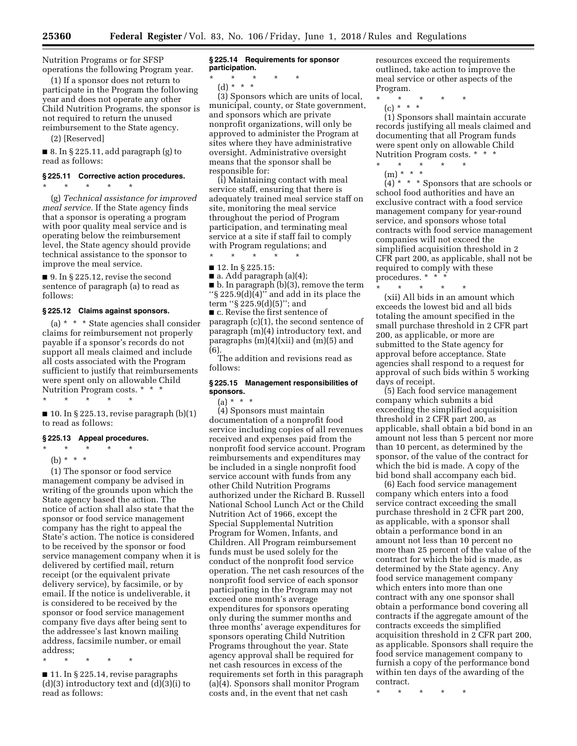Nutrition Programs or for SFSP operations the following Program year.

(1) If a sponsor does not return to participate in the Program the following year and does not operate any other Child Nutrition Programs, the sponsor is not required to return the unused reimbursement to the State agency.

(2) [Reserved]

 $\blacksquare$  8. In § 225.11, add paragraph (g) to read as follows:

#### **§ 225.11 Corrective action procedures.**  \* \* \* \* \*

(g) *Technical assistance for improved meal service.* If the State agency finds that a sponsor is operating a program with poor quality meal service and is operating below the reimbursement level, the State agency should provide technical assistance to the sponsor to improve the meal service.

 $\blacksquare$  9. In § 225.12, revise the second sentence of paragraph (a) to read as follows:

## **§ 225.12 Claims against sponsors.**

(a) \* \* \* State agencies shall consider claims for reimbursement not properly payable if a sponsor's records do not support all meals claimed and include all costs associated with the Program sufficient to justify that reimbursements were spent only on allowable Child Nutrition Program costs. \* \* \*

\* \* \* \* \*

 $\blacksquare$  10. In § 225.13, revise paragraph  $(b)(1)$ to read as follows:

## **§ 225.13 Appeal procedures.**

 $\star$   $\qquad$   $\star$   $\qquad$   $\star$   $\qquad$   $\star$ 

(b) \* \* \*

(1) The sponsor or food service management company be advised in writing of the grounds upon which the State agency based the action. The notice of action shall also state that the sponsor or food service management company has the right to appeal the State's action. The notice is considered to be received by the sponsor or food service management company when it is delivered by certified mail, return receipt (or the equivalent private delivery service), by facsimile, or by email. If the notice is undeliverable, it is considered to be received by the sponsor or food service management company five days after being sent to the addressee's last known mailing address, facsimile number, or email address;

\* \* \* \* \*

■ 11. In § 225.14, revise paragraphs  $(d)(3)$  introductory text and  $(d)(3)(i)$  to read as follows:

### **§ 225.14 Requirements for sponsor participation.**

- \* \* \* \* \*
	- (d) \* \* \*

(3) Sponsors which are units of local, municipal, county, or State government, and sponsors which are private nonprofit organizations, will only be approved to administer the Program at sites where they have administrative oversight. Administrative oversight means that the sponsor shall be responsible for:

(i) Maintaining contact with meal service staff, ensuring that there is adequately trained meal service staff on site, monitoring the meal service throughout the period of Program participation, and terminating meal service at a site if staff fail to comply with Program regulations; and

\* \* \* \* \*

■ 12. In § 225.15:

■ a. Add paragraph (a)(4); ■ b. In paragraph (b)(3), remove the term ''§ 225.9(d)(4)'' and add in its place the

term ''§ 225.9(d)(5)''; and ■ c. Revise the first sentence of paragraph (c)(1), the second sentence of paragraph (m)(4) introductory text, and paragraphs (m)(4)(xii) and (m)(5) and (6).

The addition and revisions read as follows:

## **§ 225.15 Management responsibilities of sponsors.**

 $(a) * * * *$ 

(4) Sponsors must maintain documentation of a nonprofit food service including copies of all revenues received and expenses paid from the nonprofit food service account. Program reimbursements and expenditures may be included in a single nonprofit food service account with funds from any other Child Nutrition Programs authorized under the Richard B. Russell National School Lunch Act or the Child Nutrition Act of 1966, except the Special Supplemental Nutrition Program for Women, Infants, and Children. All Program reimbursement funds must be used solely for the conduct of the nonprofit food service operation. The net cash resources of the nonprofit food service of each sponsor participating in the Program may not exceed one month's average expenditures for sponsors operating only during the summer months and three months' average expenditures for sponsors operating Child Nutrition Programs throughout the year. State agency approval shall be required for net cash resources in excess of the requirements set forth in this paragraph (a)(4). Sponsors shall monitor Program costs and, in the event that net cash

resources exceed the requirements outlined, take action to improve the meal service or other aspects of the Program.

- \* \* \* \* \*
	- (c) \* \* \*

(1) Sponsors shall maintain accurate records justifying all meals claimed and documenting that all Program funds were spent only on allowable Child Nutrition Program costs. \* \* \*

\* \* \* \* \*

(m) \* \* \*  $(4)$  \* \* \* Sponsors that are schools or school food authorities and have an exclusive contract with a food service management company for year-round service, and sponsors whose total contracts with food service management companies will not exceed the simplified acquisition threshold in 2 CFR part 200, as applicable, shall not be required to comply with these procedures. \* \* \*<br>\* \* \* \* \*

\* \* \* \* \* (xii) All bids in an amount which exceeds the lowest bid and all bids totaling the amount specified in the small purchase threshold in 2 CFR part 200, as applicable, or more are submitted to the State agency for approval before acceptance. State agencies shall respond to a request for approval of such bids within 5 working days of receipt.

(5) Each food service management company which submits a bid exceeding the simplified acquisition threshold in 2 CFR part 200, as applicable, shall obtain a bid bond in an amount not less than 5 percent nor more than 10 percent, as determined by the sponsor, of the value of the contract for which the bid is made. A copy of the bid bond shall accompany each bid.

(6) Each food service management company which enters into a food service contract exceeding the small purchase threshold in 2 CFR part 200, as applicable, with a sponsor shall obtain a performance bond in an amount not less than 10 percent no more than 25 percent of the value of the contract for which the bid is made, as determined by the State agency. Any food service management company which enters into more than one contract with any one sponsor shall obtain a performance bond covering all contracts if the aggregate amount of the contracts exceeds the simplified acquisition threshold in 2 CFR part 200, as applicable. Sponsors shall require the food service management company to furnish a copy of the performance bond within ten days of the awarding of the contract.

\* \* \* \* \*